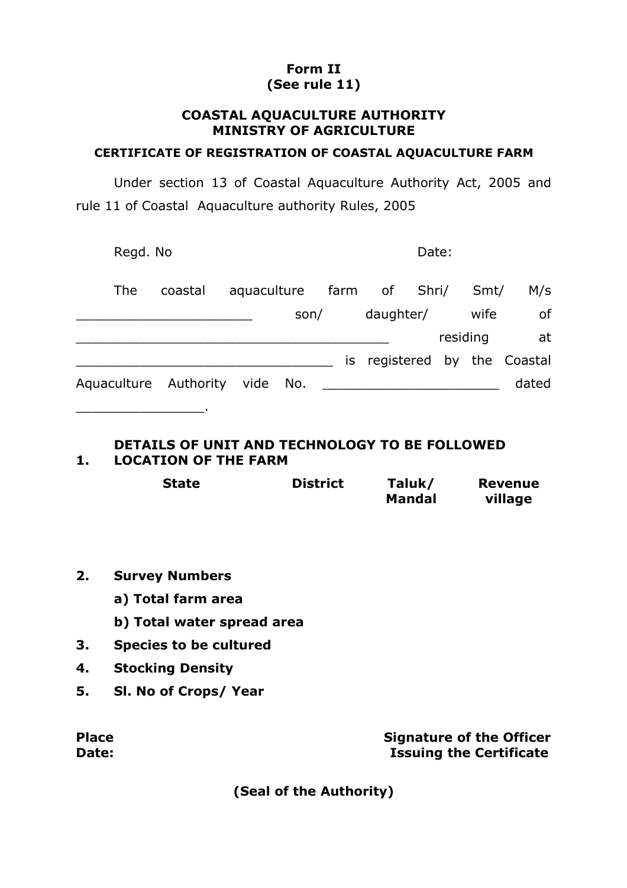# **Form II (See rule 11)**

### **COASTAL AQUACULTURE AUTHORITY MINISTRY OF AGRICULTURE**

#### **CERTIFICATE OF REGISTRATION OF COASTAL AQUACULTURE FARM**

Under section 13 of Coastal Aquaculture Authority Act, 2005 and rule 11 of Coastal Aquaculture authority Rules, 2005

|            | Regd. No              |             |      |     | Date:                     |  |          |       |  |
|------------|-----------------------|-------------|------|-----|---------------------------|--|----------|-------|--|
| <b>The</b> | coastal               | aquaculture |      |     | farm of Shri/             |  | Smt/     | M/s   |  |
|            |                       |             | son/ |     | daughter/                 |  | wife     | 0f    |  |
|            |                       |             |      |     |                           |  | residing | at    |  |
|            |                       |             |      | İS. | registered by the Coastal |  |          |       |  |
|            | Aquaculture Authority | vide No.    |      |     |                           |  |          | dated |  |

### **DETAILS OF UNIT AND TECHNOLOGY TO BE FOLLOWED 1. LOCATION OF THE FARM**

| <b>State</b> | <b>District</b> | Taluk/        | <b>Revenue</b> |  |
|--------------|-----------------|---------------|----------------|--|
|              |                 | <b>Mandal</b> | village        |  |

**2. Survey Numbers**

\_\_\_\_\_\_\_\_\_\_\_\_\_\_\_\_.

- **a) Total farm area**
- **b) Total water spread area**
- **3. Species to be cultured**
- **4. Stocking Density**
- **5. Sl. No of Crops/ Year**

| <b>Place</b> | <b>Signature of the Officer</b> |
|--------------|---------------------------------|
| Date:        | <b>Issuing the Certificate</b>  |

**(Seal of the Authority)**